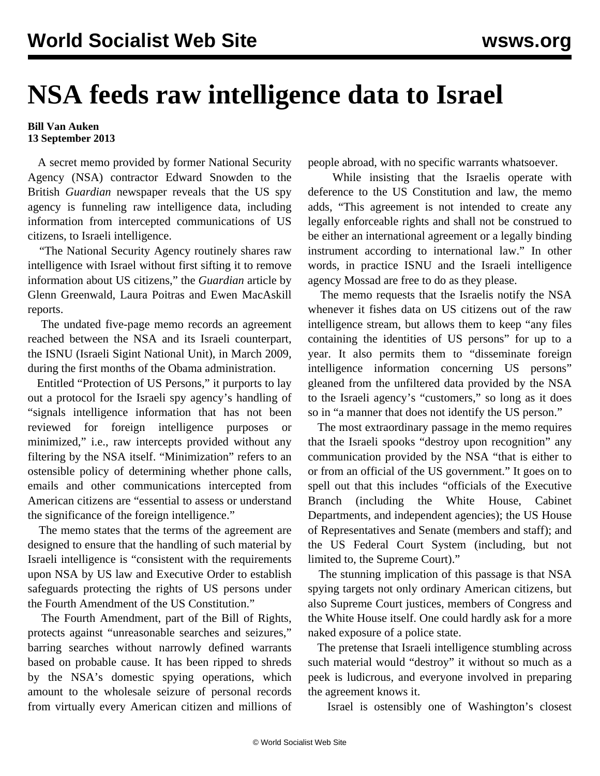## **NSA feeds raw intelligence data to Israel**

## **Bill Van Auken 13 September 2013**

 A secret memo provided by former National Security Agency (NSA) contractor Edward Snowden to the British *Guardian* newspaper reveals that the US spy agency is funneling raw intelligence data, including information from intercepted communications of US citizens, to Israeli intelligence.

 "The National Security Agency routinely shares raw intelligence with Israel without first sifting it to remove information about US citizens," the *Guardian* article by Glenn Greenwald, Laura Poitras and Ewen MacAskill reports.

 The undated five-page memo records an agreement reached between the NSA and its Israeli counterpart, the ISNU (Israeli Sigint National Unit), in March 2009, during the first months of the Obama administration.

 Entitled "Protection of US Persons," it purports to lay out a protocol for the Israeli spy agency's handling of "signals intelligence information that has not been reviewed for foreign intelligence purposes or minimized," i.e., raw intercepts provided without any filtering by the NSA itself. "Minimization" refers to an ostensible policy of determining whether phone calls, emails and other communications intercepted from American citizens are "essential to assess or understand the significance of the foreign intelligence."

 The memo states that the terms of the agreement are designed to ensure that the handling of such material by Israeli intelligence is "consistent with the requirements upon NSA by US law and Executive Order to establish safeguards protecting the rights of US persons under the Fourth Amendment of the US Constitution."

 The Fourth Amendment, part of the Bill of Rights, protects against "unreasonable searches and seizures," barring searches without narrowly defined warrants based on probable cause. It has been ripped to shreds by the NSA's domestic spying operations, which amount to the wholesale seizure of personal records from virtually every American citizen and millions of people abroad, with no specific warrants whatsoever.

 While insisting that the Israelis operate with deference to the US Constitution and law, the memo adds, "This agreement is not intended to create any legally enforceable rights and shall not be construed to be either an international agreement or a legally binding instrument according to international law." In other words, in practice ISNU and the Israeli intelligence agency Mossad are free to do as they please.

 The memo requests that the Israelis notify the NSA whenever it fishes data on US citizens out of the raw intelligence stream, but allows them to keep "any files containing the identities of US persons" for up to a year. It also permits them to "disseminate foreign intelligence information concerning US persons" gleaned from the unfiltered data provided by the NSA to the Israeli agency's "customers," so long as it does so in "a manner that does not identify the US person."

 The most extraordinary passage in the memo requires that the Israeli spooks "destroy upon recognition" any communication provided by the NSA "that is either to or from an official of the US government." It goes on to spell out that this includes "officials of the Executive Branch (including the White House, Cabinet Departments, and independent agencies); the US House of Representatives and Senate (members and staff); and the US Federal Court System (including, but not limited to, the Supreme Court)."

 The stunning implication of this passage is that NSA spying targets not only ordinary American citizens, but also Supreme Court justices, members of Congress and the White House itself. One could hardly ask for a more naked exposure of a police state.

 The pretense that Israeli intelligence stumbling across such material would "destroy" it without so much as a peek is ludicrous, and everyone involved in preparing the agreement knows it.

Israel is ostensibly one of Washington's closest